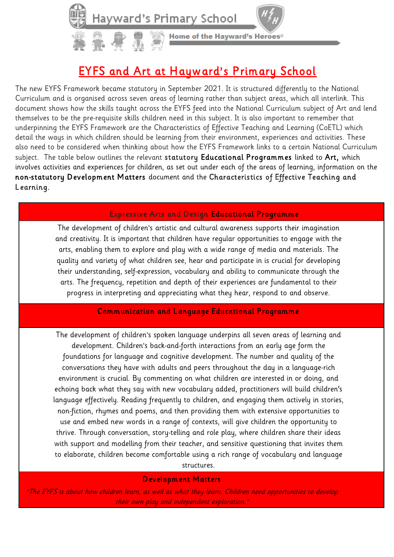

## EYFS and Art at Hayward's Primary School

The new EYFS Framework became statutory in September 2021. It is structured differently to the National Curriculum and is organised across seven areas of learning rather than subject areas, which all interlink. This document shows how the skills taught across the EYFS feed into the National Curriculum subject of Art and lend themselves to be the pre-requisite skills children need in this subject. It is also important to remember that underpinning the EYFS Framework are the Characteristics of Effective Teaching and Learning (CoETL) which detail the ways in which children should be learning from their environment, experiences and activities. These also need to be considered when thinking about how the EYFS Framework links to a certain National Curriculum subject. The table below outlines the relevant statutory Educational Programmes linked to Art, which involves activities and experiences for children, as set out under each of the areas of learning, information on the non-statutory Development Matters document and the Characteristics of Effective Teaching and Learning.

## Expressive Arts and Design Educational Programme

The development of children's artistic and cultural awareness supports their imagination and creativity. It is important that children have regular opportunities to engage with the arts, enabling them to explore and play with a wide range of media and materials. The quality and variety of what children see, hear and participate in is crucial for developing their understanding, self-expression, vocabulary and ability to communicate through the arts. The frequency, repetition and depth of their experiences are fundamental to their progress in interpreting and appreciating what they hear, respond to and observe.

## Communication and Language Educational Programme

The development of children's spoken language underpins all seven areas of learning and development. Children's back-and-forth interactions from an early age form the foundations for language and cognitive development. The number and quality of the conversations they have with adults and peers throughout the day in a language-rich environment is crucial. By commenting on what children are interested in or doing, and echoing back what they say with new vocabulary added, practitioners will build children's language effectively. Reading frequently to children, and engaging them actively in stories, non-fiction, rhymes and poems, and then providing them with extensive opportunities to use and embed new words in a range of contexts, will give children the opportunity to thrive. Through conversation, story-telling and role play, where children share their ideas with support and modelling from their teacher, and sensitive questioning that invites them to elaborate, children become comfortable using a rich range of vocabulary and language

structures.

## Development Matters

"The EYFS is about how children learn, as well as what they learn. Children need opportunities to develop their own play and independent exploration."